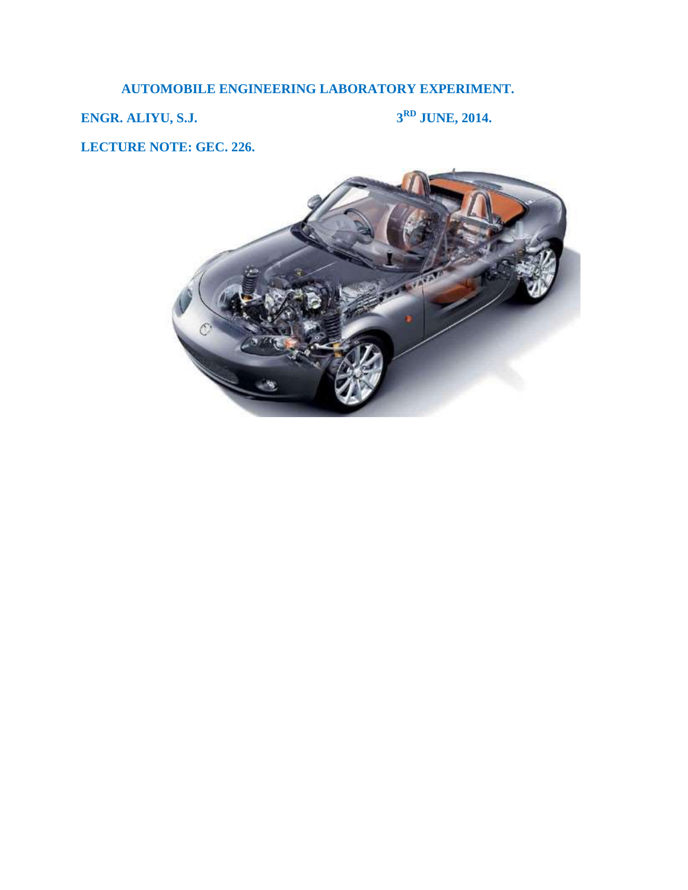# **AUTOMOBILE ENGINEERING LABORATORY EXPERIMENT.**

**ENGR. ALIYU, S.J.** 3<sup>RD</sup> **JUNE, 2014.** 

**LECTURE NOTE: GEC. 226.**

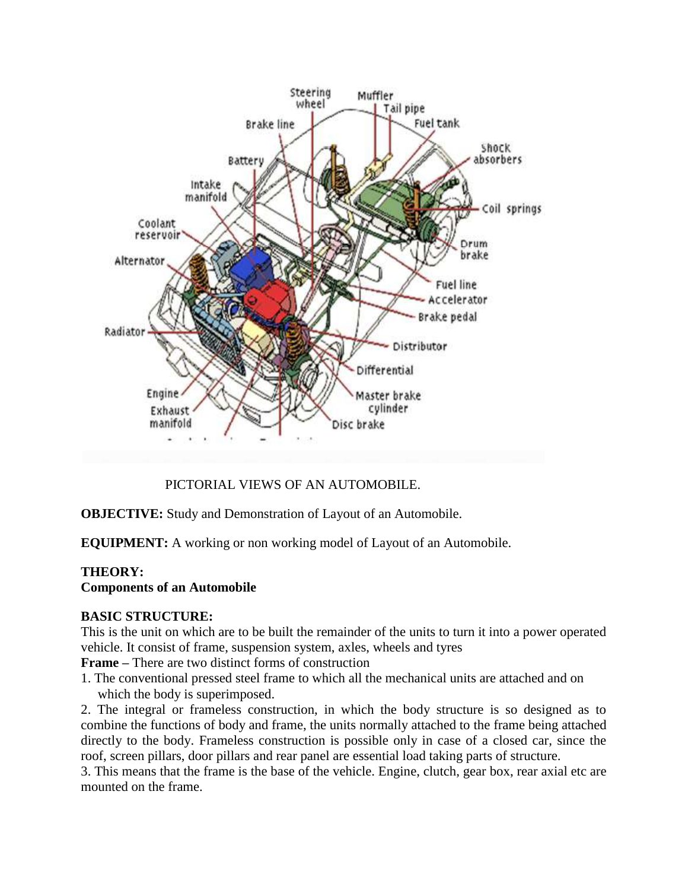

PICTORIAL VIEWS OF AN AUTOMOBILE.

**OBJECTIVE:** Study and Demonstration of Layout of an Automobile.

**EQUIPMENT:** A working or non working model of Layout of an Automobile.

## **THEORY:**

### **Components of an Automobile**

### **BASIC STRUCTURE:**

This is the unit on which are to be built the remainder of the units to turn it into a power operated vehicle. It consist of frame, suspension system, axles, wheels and tyres

**Frame –** There are two distinct forms of construction

1. The conventional pressed steel frame to which all the mechanical units are attached and on which the body is superimposed.

2. The integral or frameless construction, in which the body structure is so designed as to combine the functions of body and frame, the units normally attached to the frame being attached directly to the body. Frameless construction is possible only in case of a closed car, since the roof, screen pillars, door pillars and rear panel are essential load taking parts of structure.

3. This means that the frame is the base of the vehicle. Engine, clutch, gear box, rear axial etc are mounted on the frame.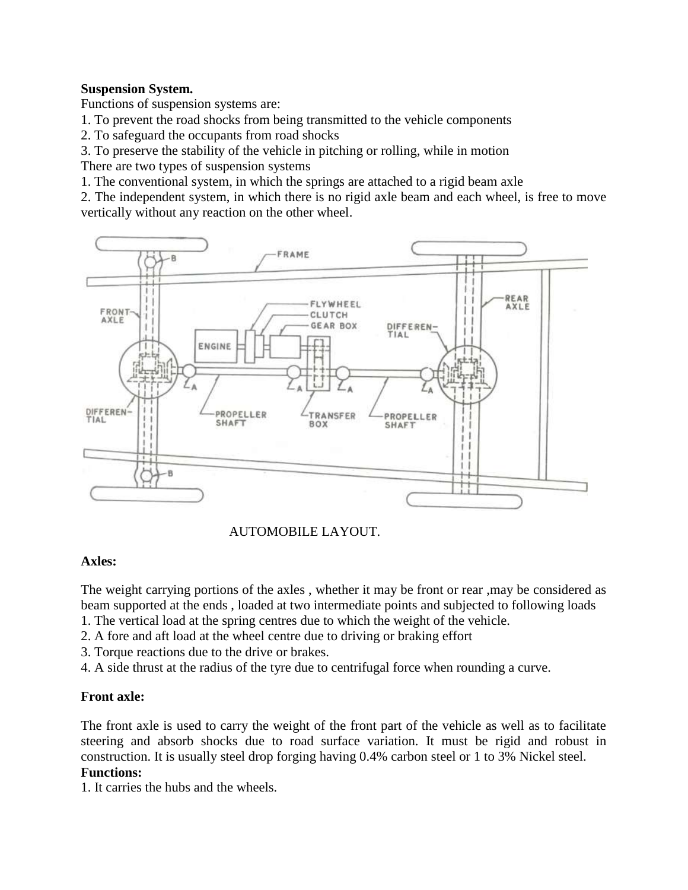### **Suspension System.**

Functions of suspension systems are:

1. To prevent the road shocks from being transmitted to the vehicle components

2. To safeguard the occupants from road shocks

3. To preserve the stability of the vehicle in pitching or rolling, while in motion

There are two types of suspension systems

1. The conventional system, in which the springs are attached to a rigid beam axle

2. The independent system, in which there is no rigid axle beam and each wheel, is free to move vertically without any reaction on the other wheel.





## **Axles:**

The weight carrying portions of the axles , whether it may be front or rear ,may be considered as beam supported at the ends , loaded at two intermediate points and subjected to following loads

- 1. The vertical load at the spring centres due to which the weight of the vehicle.
- 2. A fore and aft load at the wheel centre due to driving or braking effort
- 3. Torque reactions due to the drive or brakes.
- 4. A side thrust at the radius of the tyre due to centrifugal force when rounding a curve.

## **Front axle:**

The front axle is used to carry the weight of the front part of the vehicle as well as to facilitate steering and absorb shocks due to road surface variation. It must be rigid and robust in construction. It is usually steel drop forging having 0.4% carbon steel or 1 to 3% Nickel steel. **Functions:** 

1. It carries the hubs and the wheels.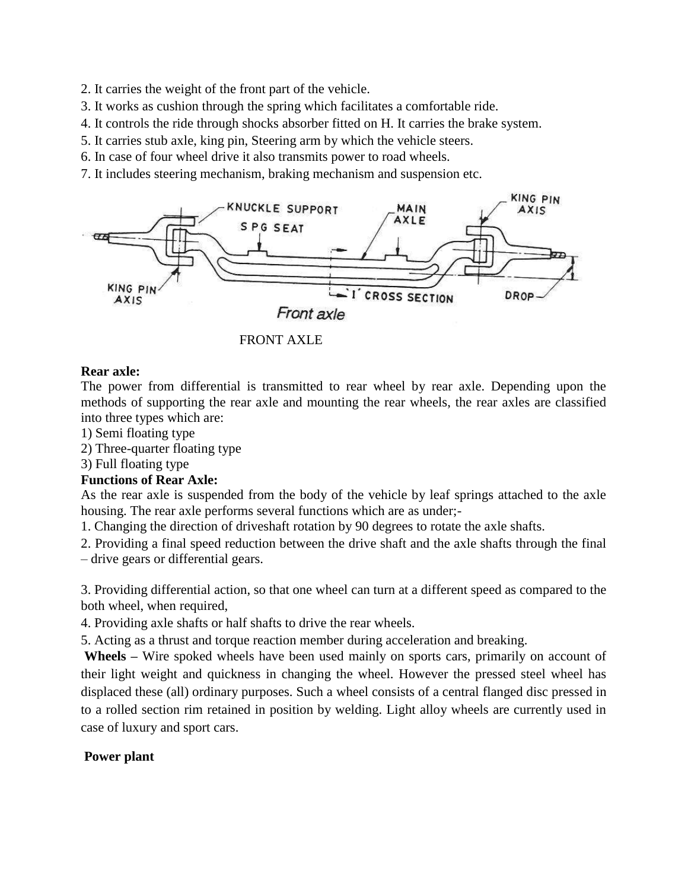- 2. It carries the weight of the front part of the vehicle.
- 3. It works as cushion through the spring which facilitates a comfortable ride.
- 4. It controls the ride through shocks absorber fitted on H. It carries the brake system.
- 5. It carries stub axle, king pin, Steering arm by which the vehicle steers.
- 6. In case of four wheel drive it also transmits power to road wheels.
- 7. It includes steering mechanism, braking mechanism and suspension etc.





#### **Rear axle:**

The power from differential is transmitted to rear wheel by rear axle. Depending upon the methods of supporting the rear axle and mounting the rear wheels, the rear axles are classified into three types which are:

- 1) Semi floating type
- 2) Three-quarter floating type
- 3) Full floating type

### **Functions of Rear Axle:**

As the rear axle is suspended from the body of the vehicle by leaf springs attached to the axle housing. The rear axle performs several functions which are as under;-

1. Changing the direction of driveshaft rotation by 90 degrees to rotate the axle shafts.

2. Providing a final speed reduction between the drive shaft and the axle shafts through the final – drive gears or differential gears.

3. Providing differential action, so that one wheel can turn at a different speed as compared to the both wheel, when required,

4. Providing axle shafts or half shafts to drive the rear wheels.

5. Acting as a thrust and torque reaction member during acceleration and breaking.

**Wheels –** Wire spoked wheels have been used mainly on sports cars, primarily on account of their light weight and quickness in changing the wheel. However the pressed steel wheel has displaced these (all) ordinary purposes. Such a wheel consists of a central flanged disc pressed in to a rolled section rim retained in position by welding. Light alloy wheels are currently used in case of luxury and sport cars.

### **Power plant**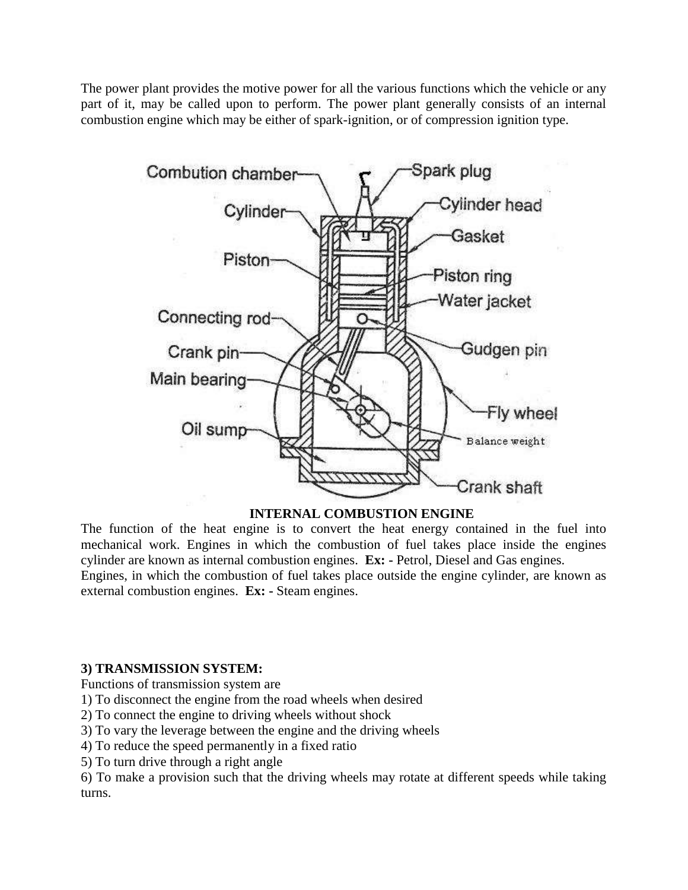The power plant provides the motive power for all the various functions which the vehicle or any part of it, may be called upon to perform. The power plant generally consists of an internal combustion engine which may be either of spark-ignition, or of compression ignition type.



### **INTERNAL COMBUSTION ENGINE**

The function of the heat engine is to convert the heat energy contained in the fuel into mechanical work. Engines in which the combustion of fuel takes place inside the engines cylinder are known as internal combustion engines. **Ex: -** Petrol, Diesel and Gas engines. Engines, in which the combustion of fuel takes place outside the engine cylinder, are known as external combustion engines. **Ex: -** Steam engines.

### **3) TRANSMISSION SYSTEM:**

Functions of transmission system are

- 1) To disconnect the engine from the road wheels when desired
- 2) To connect the engine to driving wheels without shock
- 3) To vary the leverage between the engine and the driving wheels
- 4) To reduce the speed permanently in a fixed ratio
- 5) To turn drive through a right angle

6) To make a provision such that the driving wheels may rotate at different speeds while taking turns.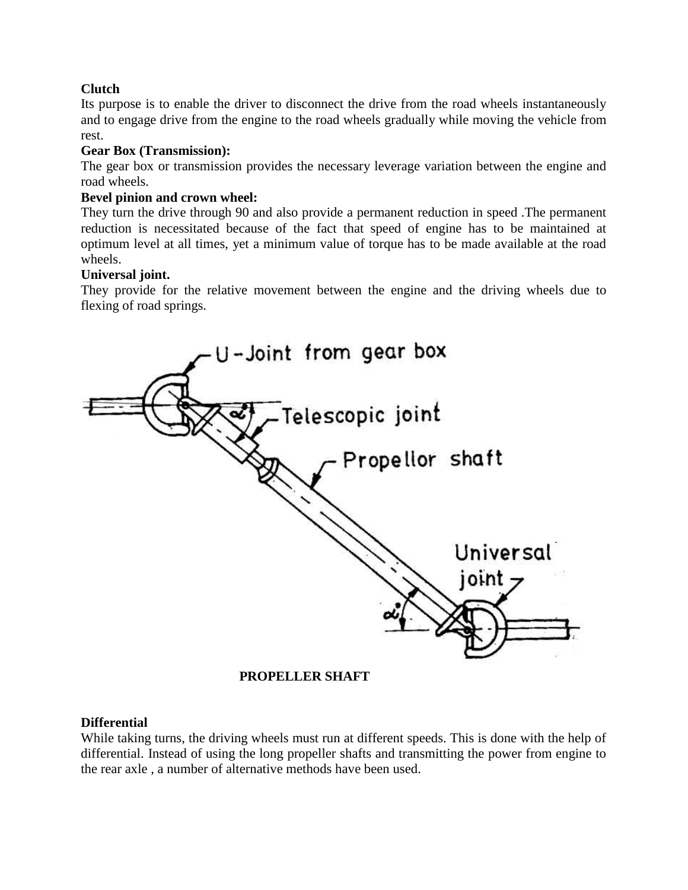## **Clutch**

Its purpose is to enable the driver to disconnect the drive from the road wheels instantaneously and to engage drive from the engine to the road wheels gradually while moving the vehicle from rest.

### **Gear Box (Transmission):**

The gear box or transmission provides the necessary leverage variation between the engine and road wheels.

### **Bevel pinion and crown wheel:**

They turn the drive through 90 and also provide a permanent reduction in speed .The permanent reduction is necessitated because of the fact that speed of engine has to be maintained at optimum level at all times, yet a minimum value of torque has to be made available at the road wheels.

### **Universal joint.**

They provide for the relative movement between the engine and the driving wheels due to flexing of road springs.



 **PROPELLER SHAFT**

### **Differential**

While taking turns, the driving wheels must run at different speeds. This is done with the help of differential. Instead of using the long propeller shafts and transmitting the power from engine to the rear axle , a number of alternative methods have been used.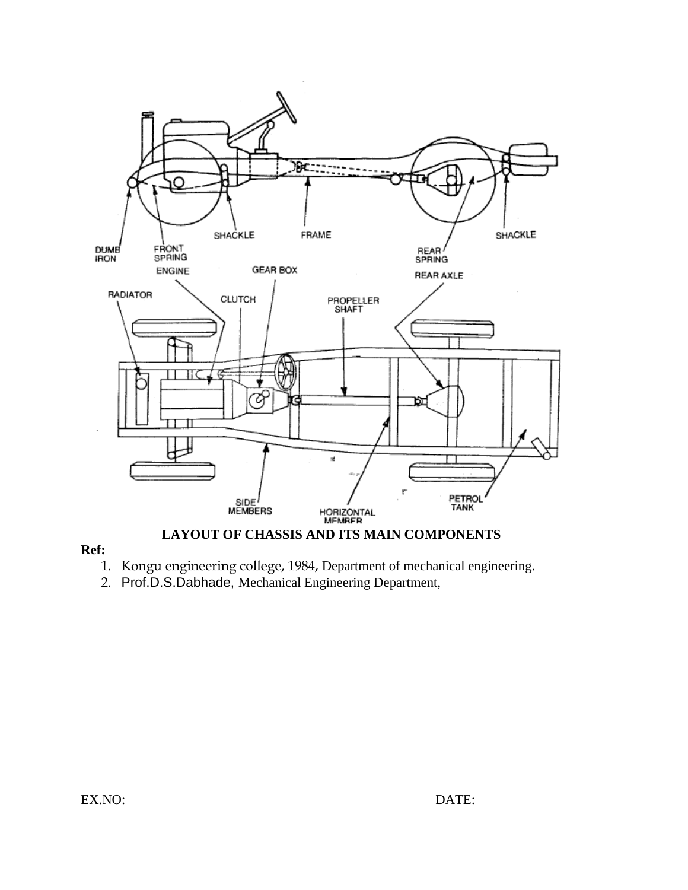

### **Ref:**

- 1. Kongu engineering college, 1984, Department of mechanical engineering.
- 2. Prof.D.S.Dabhade, Mechanical Engineering Department,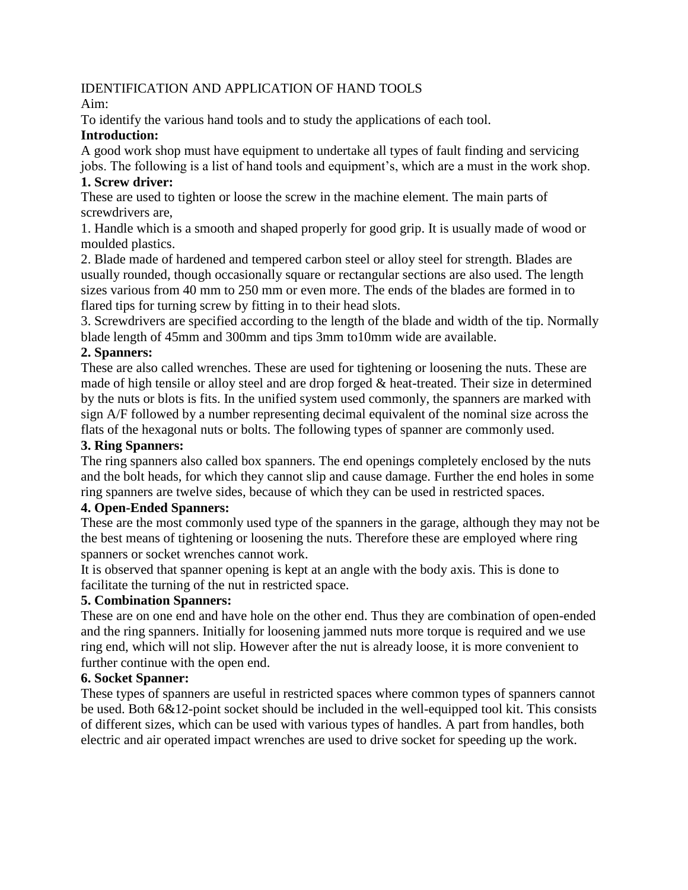### IDENTIFICATION AND APPLICATION OF HAND TOOLS

Aim:

To identify the various hand tools and to study the applications of each tool.

### **Introduction:**

A good work shop must have equipment to undertake all types of fault finding and servicing jobs. The following is a list of hand tools and equipment's, which are a must in the work shop.

## **1. Screw driver:**

These are used to tighten or loose the screw in the machine element. The main parts of screwdrivers are,

1. Handle which is a smooth and shaped properly for good grip. It is usually made of wood or moulded plastics.

2. Blade made of hardened and tempered carbon steel or alloy steel for strength. Blades are usually rounded, though occasionally square or rectangular sections are also used. The length sizes various from 40 mm to 250 mm or even more. The ends of the blades are formed in to flared tips for turning screw by fitting in to their head slots.

3. Screwdrivers are specified according to the length of the blade and width of the tip. Normally blade length of 45mm and 300mm and tips 3mm to10mm wide are available.

## **2. Spanners:**

These are also called wrenches. These are used for tightening or loosening the nuts. These are made of high tensile or alloy steel and are drop forged & heat-treated. Their size in determined by the nuts or blots is fits. In the unified system used commonly, the spanners are marked with sign A/F followed by a number representing decimal equivalent of the nominal size across the flats of the hexagonal nuts or bolts. The following types of spanner are commonly used.

## **3. Ring Spanners:**

The ring spanners also called box spanners. The end openings completely enclosed by the nuts and the bolt heads, for which they cannot slip and cause damage. Further the end holes in some ring spanners are twelve sides, because of which they can be used in restricted spaces.

## **4. Open-Ended Spanners:**

These are the most commonly used type of the spanners in the garage, although they may not be the best means of tightening or loosening the nuts. Therefore these are employed where ring spanners or socket wrenches cannot work.

It is observed that spanner opening is kept at an angle with the body axis. This is done to facilitate the turning of the nut in restricted space.

## **5. Combination Spanners:**

These are on one end and have hole on the other end. Thus they are combination of open-ended and the ring spanners. Initially for loosening jammed nuts more torque is required and we use ring end, which will not slip. However after the nut is already loose, it is more convenient to further continue with the open end.

### **6. Socket Spanner:**

These types of spanners are useful in restricted spaces where common types of spanners cannot be used. Both 6&12-point socket should be included in the well-equipped tool kit. This consists of different sizes, which can be used with various types of handles. A part from handles, both electric and air operated impact wrenches are used to drive socket for speeding up the work.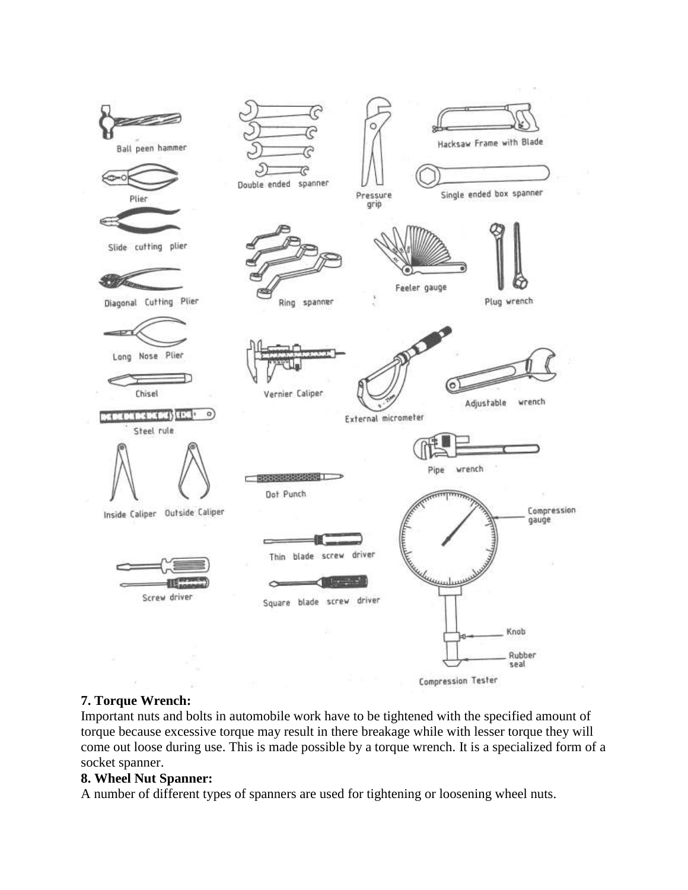

### **7. Torque Wrench:**

Important nuts and bolts in automobile work have to be tightened with the specified amount of torque because excessive torque may result in there breakage while with lesser torque they will come out loose during use. This is made possible by a torque wrench. It is a specialized form of a socket spanner.

#### **8. Wheel Nut Spanner:**

A number of different types of spanners are used for tightening or loosening wheel nuts.